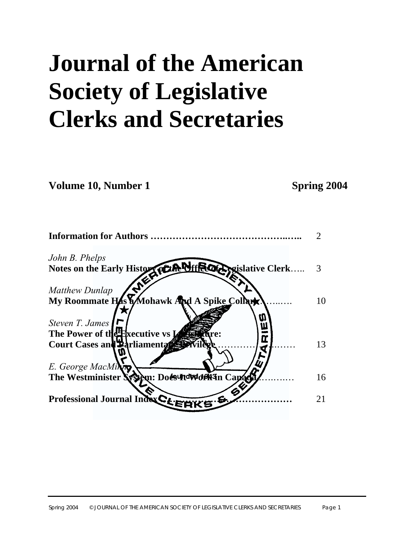# **Journal of the American Society of Legislative Clerks and Secretaries**

**Volume 10, Number 1 Spring 2004** 

| <b>Information for Authors.</b>                         |    |
|---------------------------------------------------------|----|
| John B. Phelps                                          |    |
| Notes on the Early History CLANDINE CORRECT Clerk       |    |
| <b>Matthew Dunlap</b>                                   |    |
| My Roommate HAS Mohawk And A Spike Collar               | 10 |
| Steven T. James                                         |    |
| The Power of the Executive vs $\boldsymbol{\mathrm{I}}$ |    |
| Œ<br><b>Court Cases and Parliamental</b>                | 13 |
| E. George MacMing                                       |    |
| The Westminister System: Docs TtdWdfR3n Capac           | 16 |
| G<br>Professional Journal Index CLEY<br>e               | 21 |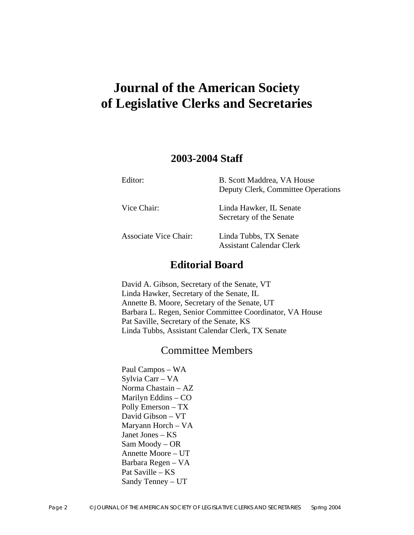# **Journal of the American Society of Legislative Clerks and Secretaries**

# **2003-2004 Staff**

| Editor:                      | B. Scott Maddrea, VA House<br>Deputy Clerk, Committee Operations |
|------------------------------|------------------------------------------------------------------|
| Vice Chair:                  | Linda Hawker, IL Senate<br>Secretary of the Senate               |
| <b>Associate Vice Chair:</b> | Linda Tubbs, TX Senate<br><b>Assistant Calendar Clerk</b>        |

# **Editorial Board**

David A. Gibson, Secretary of the Senate, VT Linda Hawker, Secretary of the Senate, IL Annette B. Moore, Secretary of the Senate, UT Barbara L. Regen, Senior Committee Coordinator, VA House Pat Saville, Secretary of the Senate, KS Linda Tubbs, Assistant Calendar Clerk, TX Senate

# Committee Members

Paul Campos – WA Sylvia Carr – VA Norma Chastain – AZ Marilyn Eddins – CO Polly Emerson – TX David Gibson – VT Maryann Horch – VA Janet Jones – KS Sam Moody – OR Annette Moore – UT Barbara Regen – VA Pat Saville – KS Sandy Tenney – UT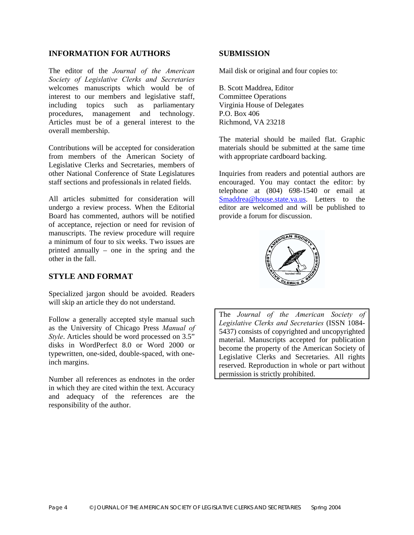#### **INFORMATION FOR AUTHORS SUBMISSION**

The editor of the *Journal of the American Society of Legislative Clerks and Secretaries* welcomes manuscripts which would be of interest to our members and legislative staff, including topics such as parliamentary procedures, management and technology. Articles must be of a general interest to the overall membership.

Contributions will be accepted for consideration from members of the American Society of Legislative Clerks and Secretaries, members of other National Conference of State Legislatures staff sections and professionals in related fields.

All articles submitted for consideration will undergo a review process. When the Editorial Board has commented, authors will be notified of acceptance, rejection or need for revision of manuscripts. The review procedure will require a minimum of four to six weeks. Two issues are printed annually – one in the spring and the other in the fall.

#### **STYLE AND FORMAT**

Specialized jargon should be avoided. Readers will skip an article they do not understand.

Follow a generally accepted style manual such as the University of Chicago Press *Manual of Style*. Articles should be word processed on 3.5" disks in WordPerfect 8.0 or Word 2000 or typewritten, one-sided, double-spaced, with oneinch margins.

Number all references as endnotes in the order in which they are cited within the text. Accuracy and adequacy of the references are the responsibility of the author.

Mail disk or original and four copies to:

B. Scott Maddrea, Editor Committee Operations Virginia House of Delegates P.O. Box 406 Richmond, VA 23218

The material should be mailed flat. Graphic materials should be submitted at the same time with appropriate cardboard backing.

Inquiries from readers and potential authors are encouraged. You may contact the editor: by telephone at (804) 698-1540 or email at [Smaddrea@house.state.va.us](mailto:Smaddrea@house.state.va.us). Letters to the editor are welcomed and will be published to provide a forum for discussion.



The *Journal of the American Society of Legislative Clerks and Secretaries* (ISSN 1084- 5437) consists of copyrighted and uncopyrighted material. Manuscripts accepted for publication become the property of the American Society of Legislative Clerks and Secretaries. All rights reserved. Reproduction in whole or part without permission is strictly prohibited.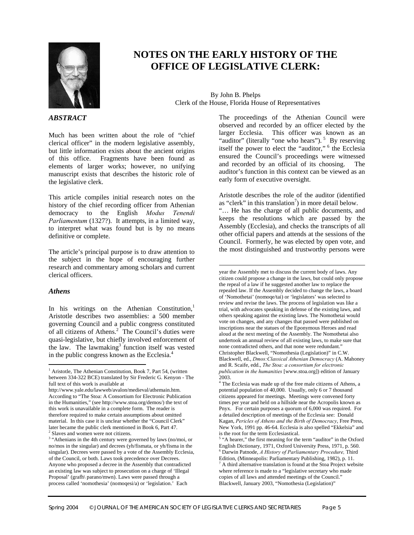

# **NOTES ON THE EARLY HISTORY OF THE OFFICE OF LEGISLATIVE CLERK:**

 $\overline{\phantom{a}}$ 

By John B. Phelps Clerk of the House, Florida House of Representatives

#### *ABSTRACT*

Much has been written about the role of "chief clerical officer" in the modern legislative assembly, but little information exists about the ancient origins of this office. Fragments have been found as elements of larger works; however, no unifying manuscript exists that describes the historic role of the legislative clerk.

This article compiles initial research notes on the history of the chief recording officer from Athenian democracy to the English *Modus Tenendi Parliamentum* (1327?). It attempts, in a limited way, to interpret what was found but is by no means definitive or complete.

The article's principal purpose is to draw attention to the subject in the hope of encouraging further research and commentary among scholars and current clerical officers.

#### *Athens*

 $\overline{\phantom{a}}$ 

In his writings on the Athenian Constitution, $<sup>1</sup>$  $<sup>1</sup>$  $<sup>1</sup>$ </sup> Aristotle describes two assemblies: a 500 member governing Council and a public congress constituted of all citizens of Athens. $2^{\degree}$  The Council's duties were quasi-legislative, but chiefly involved enforcement of thelaw. The lawmaking<sup>3</sup> function itself was vested in the public congress known as the Ecclesia.[4](#page-4-3)

The proceedings of the Athenian Council were observed and recorded by an officer elected by the larger Ecclesia. This officer was known as an "auditor" (literally "one who hears").  $5$  By reserving itself the power to elect the "auditor," [6](#page-4-5) the Ecclesia ensured the Council's proceedings were witnessed and recorded by an official of its choosing. The auditor's function in this context can be viewed as an early form of executive oversight.

Aristotle describes the role of the auditor (identified as "clerk" in this translation<sup>7</sup>[\)](#page-4-6) in more detail below.

"… He has the charge of all public documents, and keeps the resolutions which are passed by the Assembly (Ecclesia), and checks the transcripts of all other official papers and attends at the sessions of the Council. Formerly, he was elected by open vote, and the most distinguished and trustworthy persons were

<span id="page-4-0"></span><sup>&</sup>lt;sup>1</sup> Aristotle, The Athenian Constitution, Book 7, Part 54, (written between 334-322 BCE) translated by Sir Frederic G. Kenyon - The full text of this work is available at

http://www.yale.edu/lawweb/avalon/medieval/athemain.htm. According to "The Stoa: A Consortium for Electronic Publication in the Humanities," (see http://www.stoa.org/demos/) the text of this work is unavailable in a complete form. The reader is therefore required to make certain assumptions about omitted material. In this case it is unclear whether the "Council Clerk" later became the public clerk mentioned in Book 6, Part 47.  $\frac{2}{3}$  Slaves and women were not citizens.

<span id="page-4-2"></span><span id="page-4-1"></span> $3$  "Athenians in the 4th century were governed by laws (no/moi, or no/mos in the singular) and decrees (yh/fismata, or yh/fisma in the singular). Decrees were passed by a vote of the Assembly Ecclesia, of the Council, or both. Laws took precedence over Decrees. Anyone who proposed a decree in the Assembly that contradicted an existing law was subject to prosecution on a charge of 'Illegal Proposal' (grafh\ parano/mwn). Laws were passed through a process called 'nomothesia' (nomoqesi/a) or 'legislation.' Each

year the Assembly met to discuss the current body of laws. Any citizen could propose a change in the laws, but could only propose the repeal of a law if he suggested another law to replace the repealed law. If the Assembly decided to change the laws, a board of 'Nomothetai' (nomoqe/tai) or 'legislators' was selected to review and revise the laws. The process of legislation was like a trial, with advocates speaking in defense of the existing laws, and others speaking against the existing laws. The Nomothetai would vote on changes, and any changes that passed were published on inscriptions near the statues of the Eponymous Heroes and read aloud at the next meeting of the Assembly. The Nomothetai also undertook an annual review of all existing laws, to make sure that none contradicted others, and that none were redundant." Christopher Blackwell, "Nomothesia (Legislation)" in C.W. Blackwell, ed., *Dmos:Classical Athenian Democracy* (A. Mahoney and R. Scaife, edd., *The Stoa: a consortium for electronic publication in the humanities* [www.stoa.org]) edition of January 2003.

<span id="page-4-3"></span><sup>&</sup>lt;sup>4</sup> The Ecclesia was made up of the free male citizens of Athens, a potential population of 40,000. Usually, only 6 or 7 thousand citizens appeared for meetings. Meetings were convened forty times per year and held on a hillside near the Acropolis known as Pnyx. For certain purposes a quorum of 6,000 was required. For a detailed description of meetings of the Ecclesia see: Donald Kagan, *Pericles of Athens and the Birth of Democracy*, Free Press, New York, 1991 pp. 46-64. Ecclesia is also spelled "Ekkelsia" and is the root for the term Ecclesiastical.

<span id="page-4-6"></span><span id="page-4-5"></span><span id="page-4-4"></span><sup>&</sup>lt;sup>5</sup> "A hearer," the first meaning for the term "auditor" in the Oxford English Dictionary, 1971, Oxford University Press, 1971, p. 560. 6 Darwin Patnode, *A History of Parliamentary Procedure,* Third Edition, (Minneapolis: Parliamentary Publishing, 1982), p. 11. 7 A third alternative translation is found at the Stoa Project website where reference is made to a "legislative secretary who made copies of all laws and attended meetings of the Council." Blackwell, January 2003, "Nomothesia (Legislation)"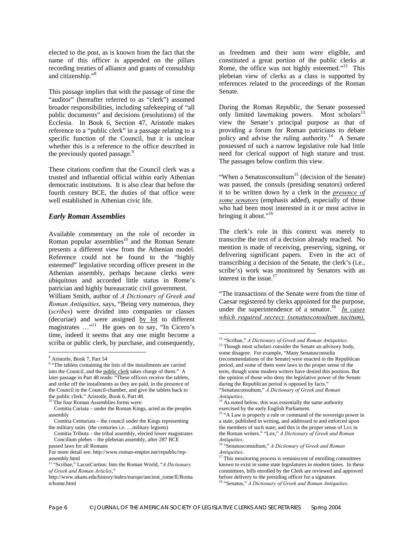elected to the post, as is known from the fact that the name of this officer is appended on the pillars recording treaties of alliance and grants of consulship and citizenship."[8](#page-5-0)

This passage implies that with the passage of time the "auditor" (hereafter referred to as "clerk") assumed broader responsibilities, including safekeeping of "all public documents" and decisions (resolutions) of the Ecclesia. In Book 6, Section 47, Aristotle makes reference to a "public clerk" in a passage relating to a specific function of the Council, but it is unclear whether this is a reference to the office described in the previously quoted passage.<sup>[9](#page-5-1)</sup>

These citations confirm that the Council clerk was a trusted and influential official within early Athenian democratic institutions. It is also clear that before the fourth century BCE, the duties of that office were well established in Athenian civic life.

#### *Early Roman Assemblies*

Available commentary on the role of recorder in Roman popular assemblies<sup>10</sup> and the Roman Senate presents a different view from the Athenian model. Reference could not be found to the "highly esteemed" legislative recording officer present in the Athenian assembly, perhaps because clerks were ubiquitous and accorded little status in Rome's patrician and highly bureaucratic civil government.

William Smith, author of *A Dictionary of Greek and Roman Antiquities*, says, "Being very numerous, they (*scribes*) were divided into companies or classes (decuriae) and were assigned by lot to different magistrates ..."<sup>11</sup> He goes on to say, "In Cicero's time, indeed it seems that any one might become a scriba or public clerk, by purchase, and consequently,

as freedmen and their sons were eligible, and constituted a great portion of the public clerks at Rome, the office was not highly esteemed."<sup>12</sup> This plebeian view of clerks as a class is supported by references related to the proceedings of the Roman Senate.

During the Roman Republic, the Senate possessed only limited lawmaking powers. Most scholars<sup>13</sup> view the Senate's principal purpose as that of providing a forum for Roman patricians to debate policy and advise the ruling authority.<sup>14</sup> A Senate possessed of such a narrow legislative role had little need for clerical support of high stature and trust. The passages below confirm this view.

"When a Senatus consultum<sup>15</sup> (decision of the Senate) was passed, the consuls (presiding senators) ordered it to be written down by a clerk in the *presence of some senators* (emphasis added), especially of those who had been most interested in it or most active in bringing it about."<sup>[16](#page-5-8)</sup>

The clerk's role in this context was merely to transcribe the text of a decision already reached. No mention is made of receiving, preserving, signing, or delivering significant papers. Even in the act of transcribing a decision of the Senate, the clerk's (i.e., scribe's) work was monitored by Senators with an interest in the issue.<sup>[17](#page-5-9)</sup>

"The transactions of the Senate were from the time of Caesar registered by clerks appointed for the purpose, under the superintendence of a senator.<sup>18</sup> *In cases which required secrecy (senatusconsultum tacitum),* 

 <sup>8</sup>

<span id="page-5-1"></span><span id="page-5-0"></span> $^8$  Aristotle, Book 7, Part 54<br><sup>9</sup> "The tablets containing the lists of the installments are carried into the Council, and the public clerk takes charge of them." A later passage in Part 48 reads: "These officers receive the tablets, and strike off the installments as they are paid, in the presence of the Council in the Council-chamber, and give the tablets back to the public clerk." Aristotle, Book 6, Part 48.

<span id="page-5-2"></span>The four Roman Assemblies forms were:

Comitia Curiata – under the Roman Kings, acted as the peoples assembly

Comitia Centuriata – the council under the Kings representing the military units (the centuries i.e. …military legions)

Comitia Tributa – the tribal assembly, elected lower magistrates Concilium plebes – the plebeian assembly, after 287 BCE

passed laws for all Romans

For more detail see: http://www.roman-empire.net/republic/repassembly.html

<span id="page-5-3"></span><sup>11 &</sup>quot;Scribae," LacusCurtius: Into the Roman World, "*A Dictionary of Greek and Roman Articles*,"

http://www.ukans.edu/history/index/europe/ancient\_rome/E/Roma n/home.html

<span id="page-5-4"></span><sup>&</sup>lt;sup>12</sup> "Scribae," *A Dictionary of Greek and Roman Antiquities*.<br><sup>13</sup> Though most scholars consider the Senate an advisory body,

<span id="page-5-5"></span>some disagree. For example, "Many Senatusconsulta (recommendations of the Senate) were enacted in the Republican period, and some of them were laws in the proper sense of the term, though some modern writers have denied this position. But the opinion of those who deny the legislative power of the Senate during the Republican period is opposed by facts." "Senatusconsultum," *A Dictionary of Greek and Roman* 

<span id="page-5-6"></span>

*Antiquities*. 14 As noted below, this was essentially the same authority exercised by the early English Parliament.

<span id="page-5-7"></span><sup>&</sup>lt;sup>15</sup> "A Law is properly a rule or command of the sovereign power in a state, published in writing, and addressed to and enforced upon the members of such state; and this is the proper sense of Lex in the Roman writers." "Lex," *A Dictionary of Greek and Roman* 

<span id="page-5-8"></span>*Antiquities.*<br><sup>16</sup> "Senatusconsultum," *A Dictionary of Greek and Roman Antiquities.* 

<span id="page-5-9"></span><sup>&</sup>lt;sup>17</sup> This monitoring process is reminiscent of enrolling committees known to exist in some state legislatures in modern times. In these committees, bills enrolled by the Clerk are reviewed and approved before delivery to the presiding officer for a signature.

<span id="page-5-10"></span><sup>18 &</sup>quot;Senatus," *A Dictionary of Greek and Roman Antiquities*.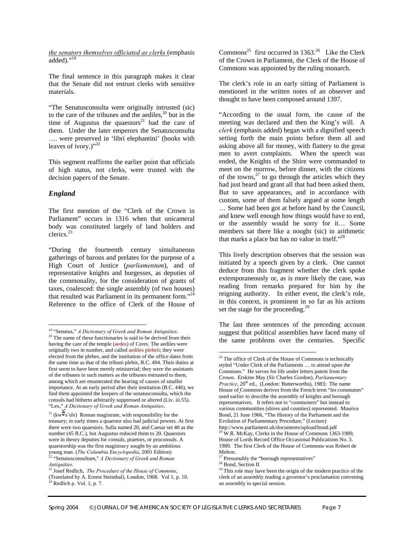*the senators themselves officiated as clerks* (emphasis  $added$ )." $^{19}$  $^{19}$  $^{19}$ 

The final sentence in this paragraph makes it clear that the Senate did not entrust clerks with sensitive materials.

"The Senatusconsulta were originally intrusted (sic) to the care of the tribunes and the aediles, $20$  but in the time of Augustus the quaestors<sup>21</sup> had the care of them. Under the later emperors the Senatusconsulta …. were preserved in 'libri elephantini' (books with leaves of ivory.)"<sup>[22](#page-6-3)</sup>

This segment reaffirms the earlier point that officials of high status, not clerks, were trusted with the decision papers of the Senate.

#### *England*

The first mention of the "Clerk of the Crown in Parliament" occurs in 1316 when that unicameral body was constituted largely of land holders and clerics.[23](#page-6-4) 

"During the fourteenth century simultaneous gatherings of barons and prelates for the purpose of a High Court of Justice (*parliamentum*), and of representative knights and burgesses, as deputies of the commonality, for the consideration of grants of taxes, coalesced: the single assembly (of two houses) that resulted was Parliament in its permanent form."<sup>24</sup> Reference to the office of Clerk of the House of

The clerk's role in an early sitting of Parliament is mentioned in the written notes of an observer and thought to have been composed around 1397.

"According to the usual form, the cause of the meeting was declared and then the King's will. A *clerk* (emphasis added) began with a dignified speech setting forth the main points before them all and asking above all for money, with flattery to the great men to avert complaints. When the speech was ended, the Knights of the Shire were commanded to meet on the morrow, before dinner, with the citizens of the towns, $27$  to go through the articles which they had just heard and grant all that had been asked them. But to save appearances, and in accordance with custom, some of them falsely argued at some length … Some had been got at before hand by the Council, and knew well enough how things would have to end, or the assembly would be sorry for it… Some members sat there like a nought (sic) in arithmetic that marks a place but has no value in itself."<sup>[28](#page-6-9)</sup>

This lively description observes that the session was initiated by a speech given by a clerk. One cannot deduce from this fragment whether the clerk spoke extemporaneously or, as is more likely the case, was reading from remarks prepared for him by the reigning authority. In either event, the clerk's role, in this context, is prominent in so far as his actions set the stage for the proceeding.<sup>[29](#page-6-10)</sup>

The last three sentences of the preceding account suggest that political assemblies have faced many of the same problems over the centuries. Specific

<span id="page-6-0"></span><sup>&</sup>lt;sup>19</sup> "Senatus," *A Dictionary of Greek and Roman Antiquities*.<br><sup>20</sup> The name of these functionaries is said to be derived from their

<span id="page-6-1"></span>having the care of the temple (aedes) of Ceres. The aediles were originally two in number, and called aediles plebeii; they were elected from the plebes, and the institution of the office dates from the same time as that of the tribuni plebis, B.C. 494. Their duties at first seem to have been merely ministerial; they were the assistants of the tribunes in such matters as the tribunes entrusted to them, among which are enumerated the hearing of causes of smaller importance. At an early period after their institution (B.C. 446), we find them appointed the keepers of the senatusconsulta, which the consuls had hitherto arbitrarily suppressed or altered (Liv. iii.55). "Lex," *A Dictionary of Greek and Roman Antiquities*.

<span id="page-6-2"></span><sup>&</sup>lt;sup>21</sup> (kw $\overline{\mathbb{E}}$ s'tôr) Roman magistrate, with responsibility for the treasury; in early times a quaestor also had judicial powers. At first there were two quaestors. Sulla named 20, and Caesar set 40 as the number (45 B.C.), but Augustus reduced them to 20. Quaestors were in theory deputies for consuls, praetors, or proconsuls. A quaestorship was the first magistracy sought by an ambitious young man. (*The Columbia Encyclopedia*, 2001 Edition)<br><sup>22</sup> "Senatusconsultum," *A Dictionary of Greek and Roman Antiquities.*<br><sup>23</sup> Iosef Redight *Ti* Represented by Times and *Roman* 

<span id="page-6-5"></span><span id="page-6-4"></span><span id="page-6-3"></span><sup>&</sup>lt;sup>3</sup> Josef Redlich, *The Procedure of the House of Commons*, (Translated by A. Ernest Steinthal), London, 1908. Vol 1, p. 10.  $24$  Redlich p. Vol. 1, p. 7.

Commons<sup>25</sup> first occurred in 1363.<sup>26</sup> Like the Clerk of the Crown in Parliament, the Clerk of the House of Commons was appointed by the ruling monarch.

<span id="page-6-6"></span><sup>&</sup>lt;sup>25</sup> The office of Clerk of the House of Commons is technically styled "Under Clerk of the Parliaments … to attend upon the Commons." He serves for life under letters patent from the Crown. Erskine May (Sir Charles Gordon), *Parliamentary Practice*, 20<sup>th</sup> ed., (London: Butterworths), 1983; The name House of Commons derives from the French term "les communes" used earlier to describe the assembly of knights and borough representatives. It refers not to "commoners" but instead to various communities (shires and counties) represented. Maurice Bond, 21 June 1966, "The History of the Parliament and the Evolution of Parliamentary Procedure," (Lecture) http://www.parliament.uk/documents/upload/bond.pdf <sup>26</sup> W.R. McKay, Clerks in the House of Commons 1363-1989,

<span id="page-6-7"></span>House of Lords Record Office Occasional Publications No. 3. 1989. The first Clerk of the House of Commons was Robert de Melton.<br><sup>27</sup> Presumably the "borough representatives" <sup>28</sup> Bond, Section II

<span id="page-6-8"></span>

<span id="page-6-9"></span>

<span id="page-6-10"></span><sup>&</sup>lt;sup>29</sup> This role may have been the origin of the modern practice of the clerk of an assembly reading a governor's proclamation convening an assembly in special session.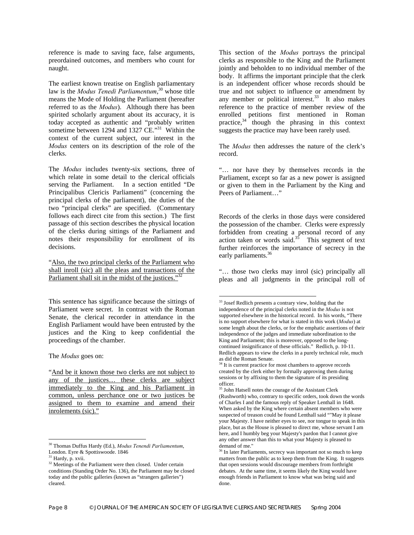reference is made to saving face, false arguments, preordained outcomes, and members who count for naught.

The earliest known treatise on English parliamentary law is the *Modus Tenedi Parliamentum*, [30 w](#page-7-0)hose title means the Mode of Holding the Parliament (hereafter referred to as the *Modus*). Although there has been spirited scholarly argument about its accuracy, it is today accepted as authentic and "probably written sometime between 1294 and 1327 CE."<sup>31</sup> Within the context of the current subject, our interest in the *Modus* centers on its description of the role of the clerks.

The *Modus* includes twenty-six sections, three of which relate in some detail to the clerical officials serving the Parliament. In a section entitled "De Principalibus Clericis Parliamenti" (concerning the principal clerks of the parliament), the duties of the two "principal clerks" are specified. (Commentary follows each direct cite from this section.) The first passage of this section describes the physical location of the clerks during sittings of the Parliament and notes their responsibility for enrollment of its decisions.

"Also, the two principal clerks of the Parliament who shall inroll (sic) all the pleas and transactions of the Parliament shall sit in the midst of the justices."<sup>32</sup>

This sentence has significance because the sittings of Parliament were secret. In contrast with the Roman Senate, the clerical recorder in attendance in the English Parliament would have been entrusted by the justices and the King to keep confidential the proceedings of the chamber.

The *Modus* goes on:

"And be it known those two clerks are not subject to any of the justices… these clerks are subject immediately to the King and his Parliament in common, unless perchance one or two justices be assigned to them to examine and amend their inrolements (sic)."

 $\overline{a}$ 

This section of the *Modus* portrays the principal clerks as responsible to the King and the Parliament jointly and beholden to no individual member of the body. It affirms the important principle that the clerk is an independent officer whose records should be true and not subject to influence or amendment by any member or political interest. $33$  It also makes reference to the practice of member review of the enrolled petitions first mentioned in Roman practice, $34$  though the phrasing in this context suggests the practice may have been rarely used.

The *Modus* then addresses the nature of the clerk's record.

"… nor have they by themselves records in the Parliament, except so far as a new power is assigned or given to them in the Parliament by the King and Peers of Parliament…"

Records of the clerks in those days were considered the possession of the chamber. Clerks were expressly forbidden from creating a personal record of any action taken or words said. $35$  This segment of text further reinforces the importance of secrecy in the early parliaments.<sup>[36](#page-7-6)</sup>

"… those two clerks may inrol (sic) principally all pleas and all judgments in the principal roll of

 $\overline{\phantom{a}}$ 

<span id="page-7-0"></span><sup>30</sup> Thomas Duffus Hardy (Ed.), *Modus Tenendi Parliamentum*, London. Eyre & Spottiswoode. 1846

<span id="page-7-1"></span><sup>&</sup>lt;sup>31</sup> Hardy, p. xvii.

<span id="page-7-2"></span><sup>&</sup>lt;sup>32</sup> Meetings of the Parliament were then closed. Under certain conditions (Standing Order No. 136), the Parliament may be closed today and the public galleries (known as "strangers galleries") cleared.

<span id="page-7-3"></span><sup>&</sup>lt;sup>33</sup> Josef Redlich presents a contrary view, holding that the independence of the principal clerks noted in the *Modus* is not supported elsewhere in the historical record. In his words, "There is no support elsewhere for what is stated in this work (*Modus*) at some length about the clerks, or for the emphatic assertions of their independence of the judges and immediate subordination to the King and Parliament; this is moreover, opposed to the longcontinued insignificance of these officials." Redlich, p. 10-11. Redlich appears to view the clerks in a purely technical role, much as did the Roman Senate.

<span id="page-7-4"></span><sup>&</sup>lt;sup>34</sup> It is current practice for most chambers to approve records created by the clerk either by formally approving them during sessions or by affixing to them the signature of its presiding officer.<br> $35$  John Hatsell notes the courage of the Assistant Clerk

<span id="page-7-5"></span><sup>(</sup>Rushworth) who, contrary to specific orders, took down the words of Charles I and the famous reply of Speaker Lenthall in 1648. When asked by the King where certain absent members who were suspected of treason could be found Lenthall said ""May it please your Majesty. I have neither eyes to see, nor tongue to speak in this place, but as the House is pleased to direct me, whose servant I am here, and I humbly beg your Majesty's pardon that I cannot give any other answer than this to what your Majesty is pleased to demand of me."

<span id="page-7-6"></span>In later Parliaments, secrecy was important not so much to keep matters from the public as to keep them from the King. It suggests that open sessions would discourage members from forthright debates. At the same time, it seems likely the King would have enough friends in Parliament to know what was being said and done.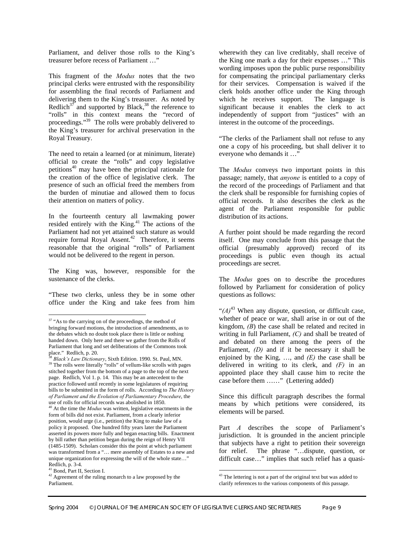Parliament, and deliver those rolls to the King's treasurer before recess of Parliament …"

This fragment of the *Modus* notes that the two principal clerks were entrusted with the responsibility for assembling the final records of Parliament and delivering them to the King's treasurer. As noted by Redlich<sup>37</sup> and supported by Black,<sup>38</sup> the reference to "rolls" in this context means the "record of proceedings."[39](#page-8-2) The rolls were probably delivered to the King's treasurer for archival preservation in the Royal Treasury.

The need to retain a learned (or at minimum, literate) official to create the "rolls" and copy legislative petitions [40](#page-8-3) may have been the principal rationale for the creation of the office of legislative clerk. The presence of such an official freed the members from the burden of minutiae and allowed them to focus their attention on matters of policy.

In the fourteenth century all lawmaking power resided entirely with the King. [41](#page-8-4) The actions of the Parliament had not yet attained such stature as would require formal Royal Assent.<sup>42</sup> Therefore, it seems reasonable that the original "rolls" of Parliament would not be delivered to the regent in person.

The King was, however, responsible for the sustenance of the clerks.

"These two clerks, unless they be in some other office under the King and take fees from him

 $\overline{\phantom{a}}$ 

wherewith they can live creditably, shall receive of the King one mark a day for their expenses …" This wording imposes upon the public purse responsibility for compensating the principal parliamentary clerks for their services. Compensation is waived if the clerk holds another office under the King through which he receives support. The language is significant because it enables the clerk to act independently of support from "justices" with an interest in the outcome of the proceedings.

"The clerks of the Parliament shall not refuse to any one a copy of his proceeding, but shall deliver it to everyone who demands it …"

The *Modus* conveys two important points in this passage; namely, that *anyone* is entitled to a copy of the record of the proceedings of Parliament and that the clerk shall be responsible for furnishing copies of official records. It also describes the clerk as the agent of the Parliament responsible for public distribution of its actions.

A further point should be made regarding the record itself. One may conclude from this passage that the official (presumably approved) record of its proceedings is public even though its actual proceedings are secret.

The *Modus* goes on to describe the procedures followed by Parliament for consideration of policy questions as follows:

" $(A)$ <sup>[43](#page-8-6)</sup> When any dispute, question, or difficult case, whether of peace or war, shall arise in or out of the kingdom, *(B*) the case shall be related and recited in writing in full Parliament, *(C)* and shall be treated of and debated on there among the peers of the Parliament, *(D)* and if it be necessary it shall be enjoined by the King, …, and *(E)* the case shall be delivered in writing to its clerk, and *(F)* in an appointed place they shall cause him to recite the case before them ……" (Lettering added)

Since this difficult paragraph describes the formal means by which petitions were considered, its elements will be parsed.

Part *A* describes the scope of Parliament's jurisdiction. It is grounded in the ancient principle that subjects have a right to petition their sovereign for relief. The phrase "…dispute, question, or difficult case…" implies that such relief has a quasi-

<span id="page-8-0"></span><sup>&</sup>lt;sup>37</sup> "As to the carrying on of the proceedings, the method of bringing forward motions, the introduction of amendments, as to the debates which no doubt took place there is little or nothing handed down. Only here and there we gather from the Rolls of Parliament that long and set deliberations of the Commons took place." Redlich, p. 20.

<span id="page-8-2"></span><span id="page-8-1"></span>Black's Law Dictionary, Sixth Edition. 1990. St. Paul, MN. <sup>39</sup> The rolls were literally "rolls" of vellum-like scrolls with pages stitched together from the bottom of a page to the top of the next page. Redlich, Vol 1. p. 14. This may be an antecedent to the practice followed until recently in some legislatures of requiring bills to be submitted in the form of rolls. According to *The History of Parliament and the Evolution of Parliamentary Procedure*, the use of rolls for official records was abolished in 1850.

<span id="page-8-3"></span><sup>40</sup> At the time the *Modus* was written, legislative enactments in the form of bills did not exist. Parliament, from a clearly inferior position, would urge (i.e., petition) the King to make law of a policy it proposed. One hundred fifty years later the Parliament asserted its powers more fully and began enacting bills. Enactment by bill rather than petition began during the reign of Henry VII (1485-1509). Scholars consider this the point at which parliament was transformed from a "… mere assembly of Estates to a new and unique organization for expressing the will of the whole state…" Redlich, p. 3-4.

<span id="page-8-4"></span>Bond, Part II, Section I.

<span id="page-8-5"></span> $42$  Agreement of the ruling monarch to a law proposed by the Parliament.

<span id="page-8-6"></span> $\overline{\phantom{a}}$ <sup>43</sup> The lettering is not a part of the original text but was added to clarify references to the various components of this passage.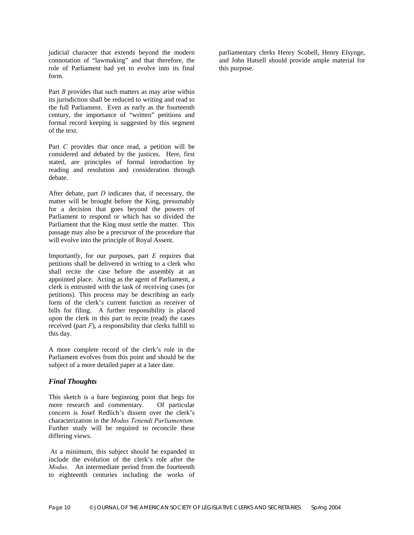judicial character that extends beyond the modern connotation of "lawmaking" and that therefore, the role of Parliament had yet to evolve into its final form.

Part *B* provides that such matters as may arise within its jurisdiction shall be reduced to writing and read to the full Parliament. Even as early as the fourteenth century, the importance of "written" petitions and formal record keeping is suggested by this segment of the text.

Part *C* provides that once read, a petition will be considered and debated by the justices. Here, first stated, are principles of formal introduction by reading and resolution and consideration through debate.

After debate, part *D* indicates that, if necessary, the matter will be brought before the King, presumably for a decision that goes beyond the powers of Parliament to respond or which has so divided the Parliament that the King must settle the matter. This passage may also be a precursor of the procedure that will evolve into the principle of Royal Assent.

Importantly, for our purposes, part *E* requires that petitions shall be delivered in writing to a clerk who shall recite the case before the assembly at an appointed place. Acting as the agent of Parliament, a clerk is entrusted with the task of receiving cases (or petitions). This process may be describing an early form of the clerk's current function as receiver of bills for filing. A further responsibility is placed upon the clerk in this part to recite (read) the cases received (part  $F$ ), a responsibility that clerks fulfill to this day.

A more complete record of the clerk's role in the Parliament evolves from this point and should be the subject of a more detailed paper at a later date.

#### *Final Thoughts*

This sketch is a bare beginning point that begs for more research and commentary. Of particular concern is Josef Redlich's dissent over the clerk's characterization in the *Modus Tenendi Parliamentum.* Further study will be required to reconcile these differing views.

At a minimum, this subject should be expanded to include the evolution of the clerk's role after the *Modus.* An intermediate period from the fourteenth to eighteenth centuries including the works of

parliamentary clerks Henry Scobell, Henry Elsynge, and John Hatsell should provide ample material for this purpose.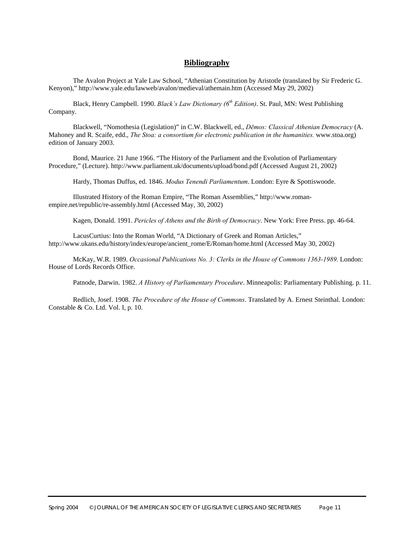#### **Bibliography**

The Avalon Project at Yale Law School, "Athenian Constitution by Aristotle (translated by Sir Frederic G. Kenyon)," http://www.yale.edu/lawweb/avalon/medieval/athemain.htm (Accessed May 29, 2002)

Black, Henry Campbell. 1990. *Black's Law Dictionary (6th Edition)*. St. Paul, MN: West Publishing Company.

Blackwell, "Nomothesia (Legislation)" in C.W. Blackwell, ed., *Dēmos: Classical Athenian Democracy* (A. Mahoney and R. Scaife, edd., *The Stoa: a consortium for electronic publication in the humanities.* www.stoa.org) edition of January 2003.

Bond, Maurice. 21 June 1966. "The History of the Parliament and the Evolution of Parliamentary Procedure," (Lecture). http://www.parliament.uk/documents/upload/bond.pdf (Accessed August 21, 2002)

Hardy, Thomas Duffus, ed. 1846. *Modus Tenendi Parliamentum*. London: Eyre & Spottiswoode.

Illustrated History of the Roman Empire, "The Roman Assemblies," http://www.romanempire.net/republic/re-assembly.html (Accessed May, 30, 2002)

Kagen, Donald. 1991. *Pericles of Athens and the Birth of Democracy*. New York: Free Press. pp. 46-64.

LacusCurtius: Into the Roman World, "A Dictionary of Greek and Roman Articles," http://www.ukans.edu/history/index/europe/ancient\_rome/E/Roman/home.html (Accessed May 30, 2002)

McKay, W.R. 1989. *Occasional Publications No. 3: Clerks in the House of Commons 1363-1989.* London: House of Lords Records Office.

Patnode, Darwin. 1982. *A History of Parliamentary Procedure*. Minneapolis: Parliamentary Publishing. p. 11.

Redlich, Josef. 1908. *The Procedure of the House of Commons*. Translated by A. Ernest Steinthal. London: Constable & Co. Ltd. Vol. I, p. 10.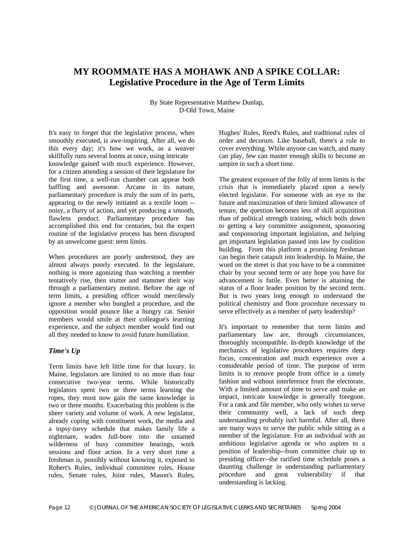# **MY ROOMMATE HAS A MOHAWK AND A SPIKE COLLAR: Legislative Procedure in the Age of Term Limits**

By State Representative Matthew Dunlap, D-Old Town, Maine

It's easy to forget that the legislative process, when smoothly executed, is awe-inspiring. After all, we do this every day; it's how we work, as a weaver skillfully runs several looms at once, using intricate knowledge gained with much experience. However, for a citizen attending a session of their legislature for the first time, a well-run chamber can appear both baffling and awesome. Arcane in its nature, parliamentary procedure is truly the sum of its parts, appearing to the newly initiated as a textile loom - noisy, a flurry of action, and yet producing a smooth, flawless product. Parliamentary procedure has accomplished this end for centuries, but the expert routine of the legislative process has been disrupted by an unwelcome guest: term limits.

When procedures are poorly understood, they are almost always poorly executed. In the legislature, nothing is more agonizing than watching a member tentatively rise, then stutter and stammer their way through a parliamentary motion. Before the age of term limits, a presiding officer would mercilessly ignore a member who bungled a procedure, and the opposition would pounce like a hungry cat. Senior members would smile at their colleague's learning experience, and the subject member would find out all they needed to know to avoid future humiliation.

#### *Time's Up*

Term limits have left little time for that luxury. In Maine, legislators are limited to no more than four consecutive two-year terms. While historically legislators spent two or three terms learning the ropes, they must now gain the same knowledge in two or three months. Exacerbating this problem is the sheer variety and volume of work. A new legislator, already coping with constituent work, the media and a topsy-turvy schedule that makes family life a nightmare, wades full-bore into the untamed wilderness of busy committee hearings, work sessions and floor action. In a very short time a freshman is, possibly without knowing it, exposed to Robert's Rules, individual committee rules, House rules, Senate rules, Joint rules, Mason's Rules,

Hughes' Rules, Reed's Rules, and traditional rules of order and decorum. Like baseball, there's a rule to cover everything. While anyone can watch, and many can play, few can master enough skills to become an umpire in such a short time.

The greatest exposure of the folly of term limits is the crisis that is immediately placed upon a newly elected legislator. For someone with an eye to the future and maximization of their limited allowance of tenure, the question becomes less of skill acquisition than of political strength training, which boils down to getting a key committee assignment, sponsoring and cosponsoring important legislation, and helping get important legislation passed into law by coalition building. From this platform a promising freshman can begin their catapult into leadership. In Maine, the word on the street is that you have to be a committee chair by your second term or any hope you have for advancement is futile. Even better is attaining the status of a floor leader position by the second term. But is two years long enough to understand the political chemistry and floor procedure necessary to serve effectively as a member of party leadership?

It's important to remember that term limits and parliamentary law are, through circumstances, thoroughly incompatible. In-depth knowledge of the mechanics of legislative procedures requires deep focus, concentration and much experience over a considerable period of time. The purpose of term limits is to remove people from office in a timely fashion and without interference from the electorate. With a limited amount of time to serve and make an impact, intricate knowledge is generally foregone. For a rank and file member, who only wishes to serve their community well, a lack of such deep understanding probably isn't harmful. After all, there are many ways to serve the public while sitting as a member of the legislature. For an individual with an ambitious legislative agenda or who aspires to a position of leadership--from committee chair up to presiding officer--the rarified time schedule poses a daunting challenge in understanding parliamentary procedure and great vulnerability if that understanding is lacking.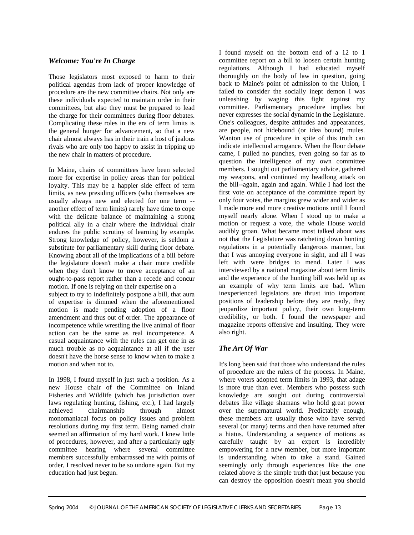#### *Welcome: You're In Charge*

Those legislators most exposed to harm to their political agendas from lack of proper knowledge of procedure are the new committee chairs. Not only are these individuals expected to maintain order in their committees, but also they must be prepared to lead the charge for their committees during floor debates. Complicating these roles in the era of term limits is the general hunger for advancement, so that a new chair almost always has in their train a host of jealous rivals who are only too happy to assist in tripping up the new chair in matters of procedure.

In Maine, chairs of committees have been selected more for expertise in policy areas than for political loyalty. This may be a happier side effect of term limits, as new presiding officers (who themselves are usually always new and elected for one term - another effect of term limits) rarely have time to cope with the delicate balance of maintaining a strong political ally in a chair where the individual chair endures the public scrutiny of learning by example. Strong knowledge of policy, however, is seldom a substitute for parliamentary skill during floor debate. Knowing about all of the implications of a bill before the legislature doesn't make a chair more credible when they don't know to move acceptance of an ought-to-pass report rather than a recede and concur motion. If one is relying on their expertise on a

subject to try to indefinitely postpone a bill, that aura of expertise is dimmed when the aforementioned motion is made pending adoption of a floor amendment and thus out of order. The appearance of incompetence while wrestling the live animal of floor action can be the same as real incompetence. A casual acquaintance with the rules can get one in as much trouble as no acquaintance at all if the user doesn't have the horse sense to know when to make a motion and when not to.

In 1998, I found myself in just such a position. As a new House chair of the Committee on Inland Fisheries and Wildlife (which has jurisdiction over laws regulating hunting, fishing, etc.), I had largely achieved chairmanship through almost monomaniacal focus on policy issues and problem resolutions during my first term. Being named chair seemed an affirmation of my hard work. I knew little of procedures, however, and after a particularly ugly committee hearing where several committee members successfully embarrassed me with points of order, I resolved never to be so undone again. But my education had just begun.

I found myself on the bottom end of a 12 to 1 committee report on a bill to loosen certain hunting regulations. Although I had educated myself thoroughly on the body of law in question, going back to Maine's point of admission to the Union, I failed to consider the socially inept demon I was unleashing by waging this fight against my committee. Parliamentary procedure implies but never expresses the social dynamic in the Legislature. One's colleagues, despite attitudes and appearances, are people, not hidebound (or idea bound) mules. Wanton use of procedure in spite of this truth can indicate intellectual arrogance. When the floor debate came, I pulled no punches, even going so far as to question the intelligence of my own committee members. I sought out parliamentary advice, gathered my weapons, and continued my headlong attack on the bill--again, again and again. While I had lost the first vote on acceptance of the committee report by only four votes, the margins grew wider and wider as I made more and more creative motions until I found myself nearly alone. When I stood up to make a motion or request a vote, the whole House would audibly groan. What became most talked about was not that the Legislature was ratcheting down hunting regulations in a potentially dangerous manner, but that I was annoying everyone in sight, and all I was left with were bridges to mend. Later I was interviewed by a national magazine about term limits and the experience of the hunting bill was held up as an example of why term limits are bad. When inexperienced legislators are thrust into important positions of leadership before they are ready, they jeopardize important policy, their own long-term credibility, or both. I found the newspaper and magazine reports offensive and insulting. They were also right.

#### *The Art Of War*

It's long been said that those who understand the rules of procedure are the rulers of the process. In Maine, where voters adopted term limits in 1993, that adage is more true than ever. Members who possess such knowledge are sought out during controversial debates like village shamans who hold great power over the supernatural world. Predictably enough, these members are usually those who have served several (or many) terms and then have returned after a hiatus. Understanding a sequence of motions as carefully taught by an expert is incredibly empowering for a new member, but more important is understanding when to take a stand. Gained seemingly only through experiences like the one related above is the simple truth that just because you can destroy the opposition doesn't mean you should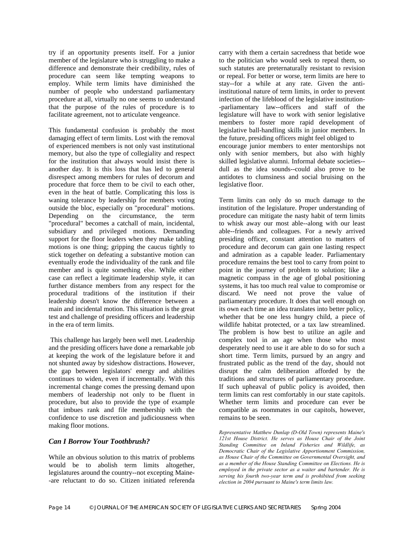try if an opportunity presents itself. For a junior member of the legislature who is struggling to make a difference and demonstrate their credibility, rules of procedure can seem like tempting weapons to employ. While term limits have diminished the number of people who understand parliamentary procedure at all, virtually no one seems to understand that the purpose of the rules of procedure is to facilitate agreement, not to articulate vengeance.

This fundamental confusion is probably the most damaging effect of term limits. Lost with the removal of experienced members is not only vast institutional memory, but also the type of collegiality and respect for the institution that always would insist there is another day. It is this loss that has led to general disrespect among members for rules of decorum and procedure that force them to be civil to each other, even in the heat of battle. Complicating this loss is waning tolerance by leadership for members voting outside the bloc, especially on "procedural" motions. Depending on the circumstance, the term "procedural" becomes a catchall of main, incidental, subsidiary and privileged motions. Demanding support for the floor leaders when they make tabling motions is one thing; gripping the caucus tightly to stick together on defeating a substantive motion can eventually erode the individuality of the rank and file member and is quite something else. While either case can reflect a legitimate leadership style, it can further distance members from any respect for the procedural traditions of the institution if their leadership doesn't know the difference between a main and incidental motion. This situation is the great test and challenge of presiding officers and leadership in the era of term limits.

This challenge has largely been well met. Leadership and the presiding officers have done a remarkable job at keeping the work of the legislature before it and not shunted away by sideshow distractions. However, the gap between legislators' energy and abilities continues to widen, even if incrementally. With this incremental change comes the pressing demand upon members of leadership not only to be fluent in procedure, but also to provide the type of example that imbues rank and file membership with the confidence to use discretion and judiciousness when making floor motions.

#### *Can I Borrow Your Toothbrush?*

While an obvious solution to this matrix of problems would be to abolish term limits altogether, legislatures around the country--not excepting Maine- -are reluctant to do so. Citizen initiated referenda

carry with them a certain sacredness that betide woe to the politician who would seek to repeal them, so such statutes are preternaturally resistant to revision or repeal. For better or worse, term limits are here to stay--for a while at any rate. Given the antiinstitutional nature of term limits, in order to prevent infection of the lifeblood of the legislative institution- -parliamentary law--officers and staff of the legislature will have to work with senior legislative members to foster more rapid development of legislative ball-handling skills in junior members. In the future, presiding officers might feel obliged to encourage junior members to enter mentorships not only with senior members, but also with highly skilled legislative alumni. Informal debate societies- dull as the idea sounds--could also prove to be antidotes to clumsiness and social bruising on the legislative floor.

Term limits can only do so much damage to the institution of the legislature. Proper understanding of procedure can mitigate the nasty habit of term limits to whisk away our most able--along with our least able--friends and colleagues. For a newly arrived presiding officer, constant attention to matters of procedure and decorum can gain one lasting respect and admiration as a capable leader. Parliamentary procedure remains the best tool to carry from point to point in the journey of problem to solution; like a magnetic compass in the age of global positioning systems, it has too much real value to compromise or discard. We need not prove the value of parliamentary procedure. It does that well enough on its own each time an idea translates into better policy, whether that be one less hungry child, a piece of wildlife habitat protected, or a tax law streamlined. The problem is how best to utilize an agile and complex tool in an age when those who most desperately need to use it are able to do so for such a short time. Term limits, pursued by an angry and frustrated public as the trend of the day, should not disrupt the calm deliberation afforded by the traditions and structures of parliamentary procedure. If such upheaval of public policy is avoided, then term limits can rest comfortably in our state capitols. Whether term limits and procedure can ever be compatible as roommates in our capitols, however, remains to be seen.

*Representative Matthew Dunlap (D-Old Town) represents Maine's 121st House District. He serves as House Chair of the Joint Standing Committee on Inland Fisheries and Wildlife, as Democratic Chair of the Legislative Apportionment Commission, as House Chair of the Committee on Governmental Oversight, and as a member of the House Standing Committee on Elections. He is employed in the private sector as a waiter and bartender. He is serving his fourth two-year term and is prohibited from seeking election in 2004 pursuant to Maine's term limits law.*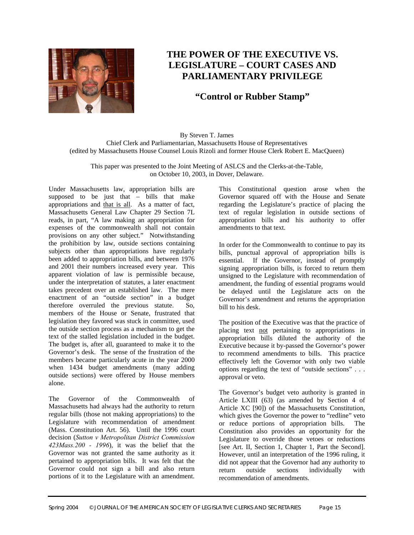

# **THE POWER OF THE EXECUTIVE VS. LEGISLATURE – COURT CASES AND PARLIAMENTARY PRIVILEGE**

# **"Control or Rubber Stamp"**

By Steven T. James Chief Clerk and Parliamentarian, Massachusetts House of Representatives (edited by Massachusetts House Counsel Louis Rizoli and former House Clerk Robert E. MacQueen)

This paper was presented to the Joint Meeting of ASLCS and the Clerks-at-the-Table, on October 10, 2003, in Dover, Delaware.

Under Massachusetts law, appropriation bills are supposed to be just that – bills that make appropriations and that is all. As a matter of fact, Massachusetts General Law Chapter 29 Section 7L reads, in part, "A law making an appropriation for expenses of the commonwealth shall not contain provisions on any other subject." Notwithstanding the prohibition by law, outside sections containing subjects other than appropriations have regularly been added to appropriation bills, and between 1976 and 2001 their numbers increased every year. This apparent violation of law is permissible because, under the interpretation of statutes, a later enactment takes precedent over an established law. The mere enactment of an "outside section" in a budget therefore overruled the previous statute. So, members of the House or Senate, frustrated that legislation they favored was stuck in committee, used the outside section process as a mechanism to get the text of the stalled legislation included in the budget. The budget is, after all, guaranteed to make it to the Governor's desk. The sense of the frustration of the members became particularly acute in the year 2000 when 1434 budget amendments (many adding outside sections) were offered by House members alone.

The Governor of the Commonwealth of Massachusetts had always had the authority to return regular bills (those not making appropriations) to the Legislature with recommendation of amendment (Mass. Constitution Art. 56). Until the 1996 court decision (*Sutton v Metropolitan District Commission 423Mass.200 - 1996*), it was the belief that the Governor was not granted the same authority as it pertained to appropriation bills. It was felt that the Governor could not sign a bill and also return portions of it to the Legislature with an amendment.

This Constitutional question arose when the Governor squared off with the House and Senate regarding the Legislature's practice of placing the text of regular legislation in outside sections of appropriation bills and his authority to offer amendments to that text.

In order for the Commonwealth to continue to pay its bills, punctual approval of appropriation bills is essential. If the Governor, instead of promptly signing appropriation bills, is forced to return them unsigned to the Legislature with recommendation of amendment, the funding of essential programs would be delayed until the Legislature acts on the Governor's amendment and returns the appropriation bill to his desk.

The position of the Executive was that the practice of placing text not pertaining to appropriations in appropriation bills diluted the authority of the Executive because it by-passed the Governor's power to recommend amendments to bills. This practice effectively left the Governor with only two viable options regarding the text of "outside sections" . . . approval or veto.

The Governor's budget veto authority is granted in Article LXIII (63) (as amended by Section 4 of Article XC [90]) of the Massachusetts Constitution, which gives the Governor the power to "redline" veto or reduce portions of appropriation bills. The Constitution also provides an opportunity for the Legislature to override those vetoes or reductions [see Art. II, Section 1, Chapter 1, Part the Second]. However, until an interpretation of the 1996 ruling, it did not appear that the Governor had any authority to return outside sections individually with recommendation of amendments.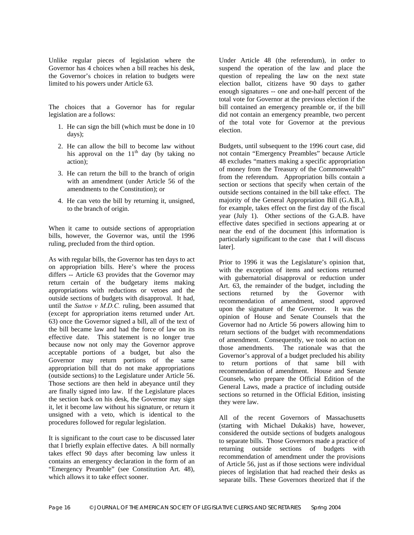Unlike regular pieces of legislation where the Governor has 4 choices when a bill reaches his desk, the Governor's choices in relation to budgets were limited to his powers under Article 63.

The choices that a Governor has for regular legislation are a follows:

- 1. He can sign the bill (which must be done in 10 days);
- 2. He can allow the bill to become law without his approval on the  $11<sup>th</sup>$  day (by taking no action);
- 3. He can return the bill to the branch of origin with an amendment (under Article 56 of the amendments to the Constitution); or
- 4. He can veto the bill by returning it, unsigned, to the branch of origin.

When it came to outside sections of appropriation bills, however, the Governor was, until the 1996 ruling, precluded from the third option.

As with regular bills, the Governor has ten days to act on appropriation bills. Here's where the process differs -- Article 63 provides that the Governor may return certain of the budgetary items making appropriations with reductions or vetoes and the outside sections of budgets with disapproval. It had, until the *Sutton v M.D.C.* ruling, been assumed that (except for appropriation items returned under Art. 63) once the Governor signed a bill, all of the text of the bill became law and had the force of law on its effective date. This statement is no longer true because now not only may the Governor approve acceptable portions of a budget, but also the Governor may return portions of the same appropriation bill that do not make appropriations (outside sections) to the Legislature under Article 56. Those sections are then held in abeyance until they are finally signed into law. If the Legislature places the section back on his desk, the Governor may sign it, let it become law without his signature, or return it unsigned with a veto, which is identical to the procedures followed for regular legislation.

It is significant to the court case to be discussed later that I briefly explain effective dates. A bill normally takes effect 90 days after becoming law unless it contains an emergency declaration in the form of an "Emergency Preamble" (see Constitution Art. 48), which allows it to take effect sooner.

Under Article 48 (the referendum), in order to suspend the operation of the law and place the question of repealing the law on the next state election ballot, citizens have 90 days to gather enough signatures -- one and one-half percent of the total vote for Governor at the previous election if the bill contained an emergency preamble or, if the bill did not contain an emergency preamble, two percent of the total vote for Governor at the previous election.

Budgets, until subsequent to the 1996 court case, did not contain "Emergency Preambles" because Article 48 excludes "matters making a specific appropriation of money from the Treasury of the Commonwealth" from the referendum. Appropriation bills contain a section or sections that specify when certain of the outside sections contained in the bill take effect. The majority of the General Appropriation Bill (G.A.B.), for example, takes effect on the first day of the fiscal year (July 1). Other sections of the G.A.B. have effective dates specified in sections appearing at or near the end of the document [this information is particularly significant to the case that I will discuss later].

Prior to 1996 it was the Legislature's opinion that, with the exception of items and sections returned with gubernatorial disapproval or reduction under Art. 63, the remainder of the budget, including the sections returned by the Governor with recommendation of amendment, stood approved upon the signature of the Governor. It was the opinion of House and Senate Counsels that the Governor had no Article 56 powers allowing him to return sections of the budget with recommendations of amendment. Consequently, we took no action on those amendments. The rationale was that the Governor's approval of a budget precluded his ability to return portions of that same bill with recommendation of amendment. House and Senate Counsels, who prepare the Official Edition of the General Laws, made a practice of including outside sections so returned in the Official Edition, insisting they were law.

All of the recent Governors of Massachusetts (starting with Michael Dukakis) have, however, considered the outside sections of budgets analogous to separate bills. Those Governors made a practice of returning outside sections of budgets with recommendation of amendment under the provisions of Article 56, just as if those sections were individual pieces of legislation that had reached their desks as separate bills. These Governors theorized that if the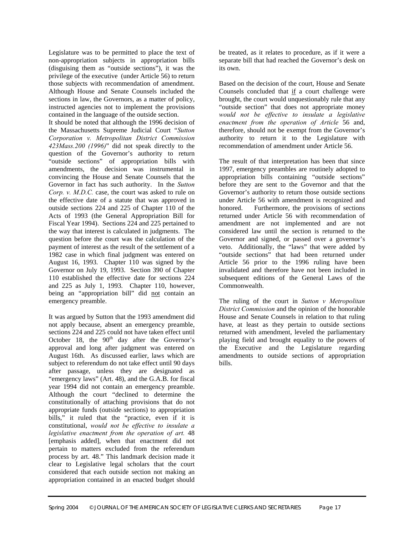Legislature was to be permitted to place the text of non-appropriation subjects in appropriation bills (disguising them as "outside sections"), it was the privilege of the executive (under Article 56) to return those subjects with recommendation of amendment. Although House and Senate Counsels included the sections in law, the Governors, as a matter of policy, instructed agencies not to implement the provisions contained in the language of the outside section.

It should be noted that although the 1996 decision of the Massachusetts Supreme Judicial Court "*Sutton Corporation v. Metropolitan District Commission 423Mass.200 (1996)*" did not speak directly to the question of the Governor's authority to return "outside sections" of appropriation bills with amendments, the decision was instrumental in convincing the House and Senate Counsels that the Governor in fact has such authority. In the *Sutton Corp. v. M.D.C.* case, the court was asked to rule on the effective date of a statute that was approved in outside sections 224 and 225 of Chapter 110 of the Acts of 1993 (the General Appropriation Bill for Fiscal Year 1994). Sections 224 and 225 pertained to the way that interest is calculated in judgments. The question before the court was the calculation of the payment of interest as the result of the settlement of a 1982 case in which final judgment was entered on August 16, 1993. Chapter 110 was signed by the Governor on July 19, 1993. Section 390 of Chapter 110 established the effective date for sections 224 and 225 as July 1, 1993. Chapter 110, however, being an "appropriation bill" did not contain an emergency preamble.

It was argued by Sutton that the 1993 amendment did not apply because, absent an emergency preamble, sections 224 and 225 could not have taken effect until October 18, the  $90<sup>th</sup>$  day after the Governor's approval and long after judgment was entered on August 16th. As discussed earlier, laws which are subject to referendum do not take effect until 90 days after passage, unless they are designated as "emergency laws" (Art. 48), and the G.A.B. for fiscal year 1994 did not contain an emergency preamble. Although the court "declined to determine the constitutionally of attaching provisions that do not appropriate funds (outside sections) to appropriation bills," it ruled that the "practice, even if it is constitutional, *would not be effective to insulate a legislative enactment from the operation of art.* 48 [emphasis added], when that enactment did not pertain to matters excluded from the referendum process by art. 48." This landmark decision made it clear to Legislative legal scholars that the court considered that each outside section not making an appropriation contained in an enacted budget should

be treated, as it relates to procedure, as if it were a separate bill that had reached the Governor's desk on its own.

Based on the decision of the court, House and Senate Counsels concluded that if a court challenge were brought, the court would unquestionably rule that any "outside section" that does not appropriate money *would not be effective to insulate a legislative enactment from the operation of Article* 56 and, therefore, should not be exempt from the Governor's authority to return it to the Legislature with recommendation of amendment under Article 56.

The result of that interpretation has been that since 1997, emergency preambles are routinely adopted to appropriation bills containing "outside sections" before they are sent to the Governor and that the Governor's authority to return those outside sections under Article 56 with amendment is recognized and honored. Furthermore, the provisions of sections returned under Article 56 with recommendation of amendment are not implemented and are not considered law until the section is returned to the Governor and signed, or passed over a governor's veto. Additionally, the "laws" that were added by "outside sections" that had been returned under Article 56 prior to the 1996 ruling have been invalidated and therefore have not been included in subsequent editions of the General Laws of the Commonwealth.

The ruling of the court in *Sutton v Metropolitan District Commission* and the opinion of the honorable House and Senate Counsels in relation to that ruling have, at least as they pertain to outside sections returned with amendment, leveled the parliamentary playing field and brought equality to the powers of the Executive and the Legislature regarding amendments to outside sections of appropriation bills.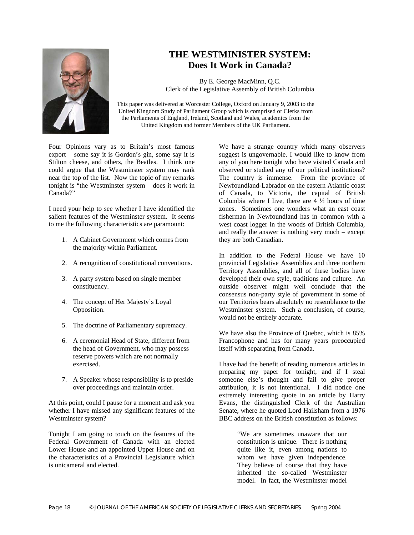

# **THE WESTMINISTER SYSTEM: Does It Work in Canada?**

By E. George MacMinn, Q.C. Clerk of the Legislative Assembly of British Columbia

This paper was delivered at Worcester College, Oxford on January 9, 2003 to the United Kingdom Study of Parliament Group which is comprised of Clerks from the Parliaments of England, Ireland, Scotland and Wales, academics from the United Kingdom and former Members of the UK Parliament.

Four Opinions vary as to Britain's most famous export – some say it is Gordon's gin, some say it is Stilton cheese, and others, the Beatles. I think one could argue that the Westminster system may rank near the top of the list. Now the topic of my remarks tonight is "the Westminster system – does it work in Canada?"

I need your help to see whether I have identified the salient features of the Westminster system. It seems to me the following characteristics are paramount:

- 1. A Cabinet Government which comes from the majority within Parliament.
- 2. A recognition of constitutional conventions.
- 3. A party system based on single member constituency.
- 4. The concept of Her Majesty's Loyal Opposition.
- 5. The doctrine of Parliamentary supremacy.
- 6. A ceremonial Head of State, different from the head of Government, who may possess reserve powers which are not normally exercised.
- 7. A Speaker whose responsibility is to preside over proceedings and maintain order.

At this point, could I pause for a moment and ask you whether I have missed any significant features of the Westminster system?

Tonight I am going to touch on the features of the Federal Government of Canada with an elected Lower House and an appointed Upper House and on the characteristics of a Provincial Legislature which is unicameral and elected.

We have a strange country which many observers suggest is ungovernable. I would like to know from any of you here tonight who have visited Canada and observed or studied any of our political institutions? The country is immense. From the province of Newfoundland-Labrador on the eastern Atlantic coast of Canada, to Victoria, the capital of British Columbia where I live, there are  $4\frac{1}{2}$  hours of time zones. Sometimes one wonders what an east coast fisherman in Newfoundland has in common with a west coast logger in the woods of British Columbia, and really the answer is nothing very much – except they are both Canadian.

In addition to the Federal House we have 10 provincial Legislative Assemblies and three northern Territory Assemblies, and all of these bodies have developed their own style, traditions and culture. An outside observer might well conclude that the consensus non-party style of government in some of our Territories bears absolutely no resemblance to the Westminster system. Such a conclusion, of course, would not be entirely accurate.

We have also the Province of Quebec, which is 85% Francophone and has for many years preoccupied itself with separating from Canada.

I have had the benefit of reading numerous articles in preparing my paper for tonight, and if I steal someone else's thought and fail to give proper attribution, it is not intentional. I did notice one extremely interesting quote in an article by Harry Evans, the distinguished Clerk of the Australian Senate, where he quoted Lord Hailsham from a 1976 BBC address on the British constitution as follows:

> "We are sometimes unaware that our constitution is unique. There is nothing quite like it, even among nations to whom we have given independence. They believe of course that they have inherited the so-called Westminster model. In fact, the Westminster model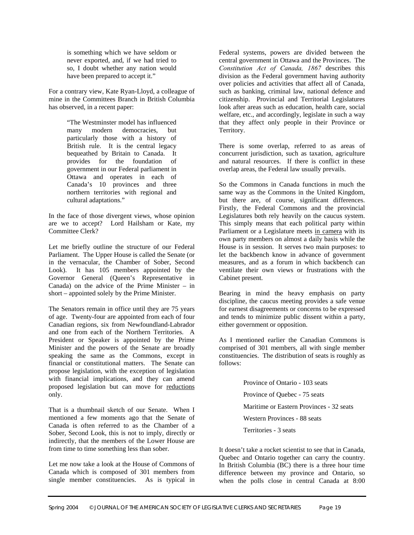is something which we have seldom or never exported, and, if we had tried to so, I doubt whether any nation would have been prepared to accept it."

For a contrary view, Kate Ryan-Lloyd, a colleague of mine in the Committees Branch in British Columbia has observed, in a recent paper:

> "The Westminster model has influenced many modern democracies, but particularly those with a history of British rule. It is the central legacy bequeathed by Britain to Canada. It provides for the foundation of government in our Federal parliament in Ottawa and operates in each of Canada's 10 provinces and three northern territories with regional and cultural adaptations."

In the face of those divergent views, whose opinion are we to accept? Lord Hailsham or Kate, my Committee Clerk?

Let me briefly outline the structure of our Federal Parliament. The Upper House is called the Senate (or in the vernacular, the Chamber of Sober, Second Look). It has 105 members appointed by the Governor General (Queen's Representative in Canada) on the advice of the Prime Minister – in short – appointed solely by the Prime Minister.

The Senators remain in office until they are 75 years of age. Twenty-four are appointed from each of four Canadian regions, six from Newfoundland-Labrador and one from each of the Northern Territories. A President or Speaker is appointed by the Prime Minister and the powers of the Senate are broadly speaking the same as the Commons, except in financial or constitutional matters. The Senate can propose legislation, with the exception of legislation with financial implications, and they can amend proposed legislation but can move for reductions only.

That is a thumbnail sketch of our Senate. When I mentioned a few moments ago that the Senate of Canada is often referred to as the Chamber of a Sober, Second Look, this is not to imply, directly or indirectly, that the members of the Lower House are from time to time something less than sober.

Let me now take a look at the House of Commons of Canada which is composed of 301 members from single member constituencies. As is typical in

Federal systems, powers are divided between the central government in Ottawa and the Provinces. The *Constitution Act of Canada, 1867* describes this division as the Federal government having authority over policies and activities that affect all of Canada, such as banking, criminal law, national defence and citizenship. Provincial and Territorial Legislatures look after areas such as education, health care, social welfare, etc., and accordingly, legislate in such a way that they affect only people in their Province or Territory.

There is some overlap, referred to as areas of concurrent jurisdiction, such as taxation, agriculture and natural resources. If there is conflict in these overlap areas, the Federal law usually prevails.

So the Commons in Canada functions in much the same way as the Commons in the United Kingdom, but there are, of course, significant differences. Firstly, the Federal Commons and the provincial Legislatures both rely heavily on the caucus system. This simply means that each political party within Parliament or a Legislature meets in camera with its own party members on almost a daily basis while the House is in session. It serves two main purposes: to let the backbench know in advance of government measures, and as a forum in which backbench can ventilate their own views or frustrations with the Cabinet present.

Bearing in mind the heavy emphasis on party discipline, the caucus meeting provides a safe venue for earnest disagreements or concerns to be expressed and tends to minimize public dissent within a party, either government or opposition.

As I mentioned earlier the Canadian Commons is comprised of 301 members, all with single member constituencies. The distribution of seats is roughly as follows:

> Province of Ontario - 103 seats Province of Quebec - 75 seats Maritime or Eastern Provinces - 32 seats Western Provinces - 88 seats Territories - 3 seats

It doesn't take a rocket scientist to see that in Canada, Quebec and Ontario together can carry the country. In British Columbia (BC) there is a three hour time difference between my province and Ontario, so when the polls close in central Canada at 8:00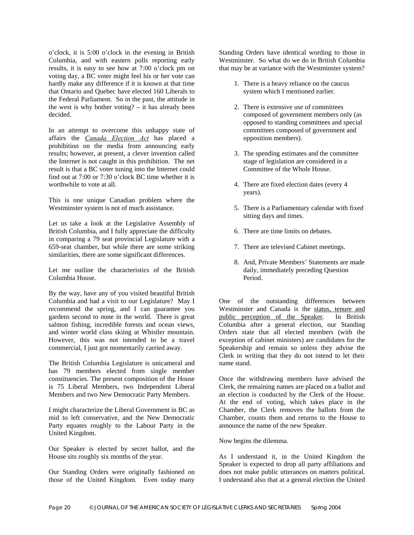o'clock, it is 5:00 o'clock in the evening in British Columbia, and with eastern polls reporting early results, it is easy to see how at 7:00 o'clock pm on voting day, a BC voter might feel his or her vote can hardly make any difference if it is known at that time that Ontario and Quebec have elected 160 Liberals to the Federal Parliament. So in the past, the attitude in the west is why bother voting? – it has already been decided.

In an attempt to overcome this unhappy state of affairs the *Canada Election Act* has placed a prohibition on the media from announcing early results; however, at present, a clever invention called the Internet is not caught in this prohibition. The net result is that a BC voter tuning into the Internet could find out at 7:00 or 7:30 o'clock BC time whether it is worthwhile to vote at all.

This is one unique Canadian problem where the Westminster system is not of much assistance.

Let us take a look at the Legislative Assembly of British Columbia, and I fully appreciate the difficulty in comparing a 79 seat provincial Legislature with a 659-seat chamber, but while there are some striking similarities, there are some significant differences.

Let me outline the characteristics of the British Columbia House.

By the way, have any of you visited beautiful British Columbia and had a visit to our Legislature? May I recommend the spring, and I can guarantee you gardens second to none in the world. There is great salmon fishing, incredible forests and ocean views. and winter world class skiing at Whistler mountain. However, this was not intended to be a travel commercial, I just got momentarily carried away.

The British Columbia Legislature is unicameral and has 79 members elected from single member constituencies. The present composition of the House is 75 Liberal Members, two Independent Liberal Members and two New Democratic Party Members.

I might characterize the Liberal Government in BC as mid to left conservative, and the New Democratic Party equates roughly to the Labour Party in the United Kingdom.

Our Speaker is elected by secret ballot, and the House sits roughly six months of the year.

Our Standing Orders were originally fashioned on those of the United Kingdom. Even today many

Standing Orders have identical wording to those in Westminster. So what do we do in British Columbia that may be at variance with the Westminster system?

- 1. There is a heavy reliance on the caucus system which I mentioned earlier.
- 2. There is extensive use of committees composed of government members only (as opposed to standing committees and special committees composed of government and opposition members).
- 3. The spending estimates and the committee stage of legislation are considered in a Committee of the Whole House.
- 4. There are fixed election dates (every 4 years).
- 5. There is a Parliamentary calendar with fixed sitting days and times.
- 6. There are time limits on debates.
- 7. There are televised Cabinet meetings.
- 8. And, Private Members' Statements are made daily, immediately preceding Question Period.

One of the outstanding differences between Westminster and Canada is the status, tenure and public perception of the Speaker. In British Columbia after a general election, our Standing Orders state that all elected members (with the exception of cabinet ministers) are candidates for the Speakership and remain so unless they advise the Clerk in writing that they do not intend to let their name stand.

Once the withdrawing members have advised the Clerk, the remaining names are placed on a ballot and an election is conducted by the Clerk of the House. At the end of voting, which takes place in the Chamber, the Clerk removes the ballots from the Chamber, counts them and returns to the House to announce the name of the new Speaker.

Now begins the dilemma.

As I understand it, in the United Kingdom the Speaker is expected to drop all party affiliations and does not make public utterances on matters political. I understand also that at a general election the United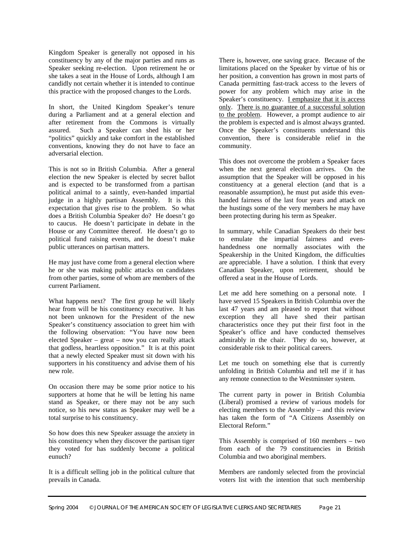Kingdom Speaker is generally not opposed in his constituency by any of the major parties and runs as Speaker seeking re-election. Upon retirement he or she takes a seat in the House of Lords, although I am candidly not certain whether it is intended to continue this practice with the proposed changes to the Lords.

In short, the United Kingdom Speaker's tenure during a Parliament and at a general election and after retirement from the Commons is virtually assured. Such a Speaker can shed his or her "politics" quickly and take comfort in the established conventions, knowing they do not have to face an adversarial election.

This is not so in British Columbia. After a general election the new Speaker is elected by secret ballot and is expected to be transformed from a partisan political animal to a saintly, even-handed impartial judge in a highly partisan Assembly. It is this expectation that gives rise to the problem. So what does a British Columbia Speaker do? He doesn't go to caucus. He doesn't participate in debate in the House or any Committee thereof. He doesn't go to political fund raising events, and he doesn't make public utterances on partisan matters.

He may just have come from a general election where he or she was making public attacks on candidates from other parties, some of whom are members of the current Parliament.

What happens next? The first group he will likely hear from will be his constituency executive. It has not been unknown for the President of the new Speaker's constituency association to greet him with the following observation: "You have now been elected Speaker – great – now you can really attack that godless, heartless opposition." It is at this point that a newly elected Speaker must sit down with his supporters in his constituency and advise them of his new role.

On occasion there may be some prior notice to his supporters at home that he will be letting his name stand as Speaker, or there may not be any such notice, so his new status as Speaker may well be a total surprise to his constituency.

So how does this new Speaker assuage the anxiety in his constituency when they discover the partisan tiger they voted for has suddenly become a political eunuch?

It is a difficult selling job in the political culture that prevails in Canada.

There is, however, one saving grace. Because of the limitations placed on the Speaker by virtue of his or her position, a convention has grown in most parts of Canada permitting fast-track access to the levers of power for any problem which may arise in the Speaker's constituency. I emphasize that it is access only. There is no guarantee of a successful solution to the problem. However, a prompt audience to air the problem is expected and is almost always granted. Once the Speaker's constituents understand this convention, there is considerable relief in the community.

This does not overcome the problem a Speaker faces when the next general election arrives. On the assumption that the Speaker will be opposed in his constituency at a general election (and that is a reasonable assumption), he must put aside this evenhanded fairness of the last four years and attack on the hustings some of the very members he may have been protecting during his term as Speaker.

In summary, while Canadian Speakers do their best to emulate the impartial fairness and evenhandedness one normally associates with the Speakership in the United Kingdom, the difficulties are appreciable. I have a solution. I think that every Canadian Speaker, upon retirement, should be offered a seat in the House of Lords.

Let me add here something on a personal note. I have served 15 Speakers in British Columbia over the last 47 years and am pleased to report that without exception they all have shed their partisan characteristics once they put their first foot in the Speaker's office and have conducted themselves admirably in the chair. They do so, however, at considerable risk to their political careers.

Let me touch on something else that is currently unfolding in British Columbia and tell me if it has any remote connection to the Westminster system.

The current party in power in British Columbia (Liberal) promised a review of various models for electing members to the Assembly – and this review has taken the form of "A Citizens Assembly on Electoral Reform."

This Assembly is comprised of 160 members – two from each of the 79 constituencies in British Columbia and two aboriginal members.

Members are randomly selected from the provincial voters list with the intention that such membership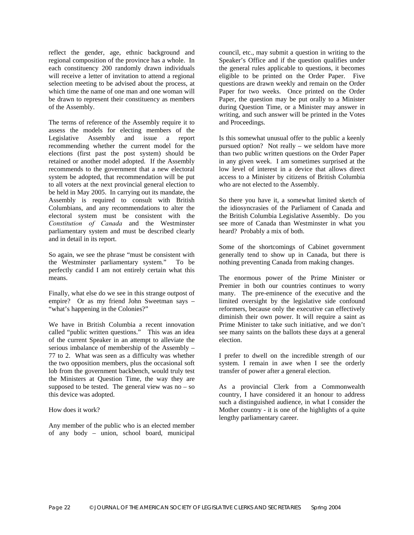reflect the gender, age, ethnic background and regional composition of the province has a whole. In each constituency 200 randomly drawn individuals will receive a letter of invitation to attend a regional selection meeting to be advised about the process, at which time the name of one man and one woman will be drawn to represent their constituency as members of the Assembly.

The terms of reference of the Assembly require it to assess the models for electing members of the Legislative Assembly and issue a report recommending whether the current model for the elections (first past the post system) should be retained or another model adopted. If the Assembly recommends to the government that a new electoral system be adopted, that recommendation will be put to all voters at the next provincial general election to be held in May 2005. In carrying out its mandate, the Assembly is required to consult with British Columbians, and any recommendations to alter the electoral system must be consistent with the *Constitution of Canada* and the Westminster parliamentary system and must be described clearly and in detail in its report.

So again, we see the phrase "must be consistent with the Westminster parliamentary system." To be perfectly candid I am not entirely certain what this means.

Finally, what else do we see in this strange outpost of empire? Or as my friend John Sweetman says – "what's happening in the Colonies?"

We have in British Columbia a recent innovation called "public written questions." This was an idea of the current Speaker in an attempt to alleviate the serious imbalance of membership of the Assembly – 77 to 2. What was seen as a difficulty was whether the two opposition members, plus the occasional soft lob from the government backbench, would truly test the Ministers at Question Time, the way they are supposed to be tested. The general view was  $no - so$ this device was adopted.

How does it work?

Any member of the public who is an elected member of any body – union, school board, municipal

council, etc., may submit a question in writing to the Speaker's Office and if the question qualifies under the general rules applicable to questions, it becomes eligible to be printed on the Order Paper. Five questions are drawn weekly and remain on the Order Paper for two weeks. Once printed on the Order Paper, the question may be put orally to a Minister during Question Time, or a Minister may answer in writing, and such answer will be printed in the Votes and Proceedings.

Is this somewhat unusual offer to the public a keenly pursued option? Not really – we seldom have more than two public written questions on the Order Paper in any given week. I am sometimes surprised at the low level of interest in a device that allows direct access to a Minister by citizens of British Columbia who are not elected to the Assembly.

So there you have it, a somewhat limited sketch of the idiosyncrasies of the Parliament of Canada and the British Columbia Legislative Assembly. Do you see more of Canada than Westminster in what you heard? Probably a mix of both.

Some of the shortcomings of Cabinet government generally tend to show up in Canada, but there is nothing preventing Canada from making changes.

The enormous power of the Prime Minister or Premier in both our countries continues to worry many. The pre-eminence of the executive and the limited oversight by the legislative side confound reformers, because only the executive can effectively diminish their own power. It will require a saint as Prime Minister to take such initiative, and we don't see many saints on the ballots these days at a general election.

I prefer to dwell on the incredible strength of our system. I remain in awe when I see the orderly transfer of power after a general election.

As a provincial Clerk from a Commonwealth country, I have considered it an honour to address such a distinguished audience, in what I consider the Mother country - it is one of the highlights of a quite lengthy parliamentary career.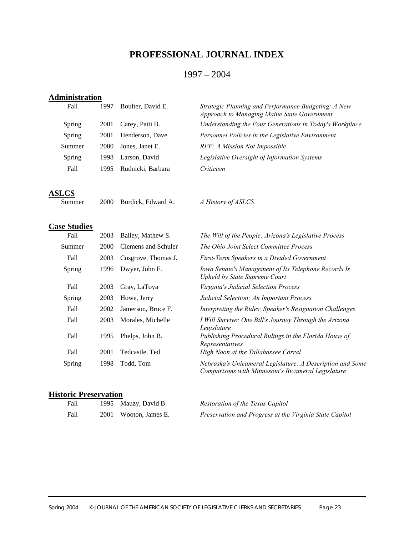# **PROFESSIONAL JOURNAL INDEX**

### 1997 – 2004

# **Administration**

| Fall   | 1997 | Boulter, David E. | Strategic Planning and Performance Budgeting: A New<br>Approach to Managing Maine State Government |
|--------|------|-------------------|----------------------------------------------------------------------------------------------------|
| Spring | 2001 | Carey, Patti B.   | Understanding the Four Generations in Today's Workplace                                            |
| Spring | 2001 | Henderson, Dave   | Personnel Policies in the Legislative Environment                                                  |
| Summer | 2000 | Jones, Janet E.   | RFP: A Mission Not Impossible                                                                      |
| Spring | 1998 | Larson, David     | Legislative Oversight of Information Systems                                                       |
| Fall   | 1995 | Rudnicki, Barbara | Criticism                                                                                          |
|        |      |                   |                                                                                                    |

**ASLCS**

2000 Burdick, Edward A. *A History of ASLCS* 

#### **Case Studies**

| Fall   | 2003 | Bailey, Mathew S.   | The Will of the People: Arizona's Legislative Process                                                           |
|--------|------|---------------------|-----------------------------------------------------------------------------------------------------------------|
| Summer | 2000 | Clemens and Schuler | The Ohio Joint Select Committee Process                                                                         |
| Fall   | 2003 | Cosgrove, Thomas J. | First-Term Speakers in a Divided Government                                                                     |
| Spring | 1996 | Dwyer, John F.      | Iowa Senate's Management of Its Telephone Records Is<br>Upheld by State Supreme Court                           |
| Fall   | 2003 | Gray, LaToya        | Virginia's Judicial Selection Process                                                                           |
| Spring | 2003 | Howe, Jerry         | Judicial Selection: An Important Process                                                                        |
| Fall   | 2002 | Jamerson, Bruce F.  | Interpreting the Rules: Speaker's Resignation Challenges                                                        |
| Fall   | 2003 | Morales, Michelle   | I Will Survive: One Bill's Journey Through the Arizona<br>Legislature                                           |
| Fall   | 1995 | Phelps, John B.     | Publishing Procedural Rulings in the Florida House of<br>Representatives                                        |
| Fall   | 2001 | Tedcastle, Ted      | High Noon at the Tallahassee Corral                                                                             |
| Spring | 1998 | Todd, Tom           | Nebraska's Unicameral Legislature: A Description and Some<br>Comparisons with Minnesota's Bicameral Legislature |

#### **Historic Preservation**

| Fall | 1995 Mauzy, David B.  | Restoration of the Texas Capitol                        |
|------|-----------------------|---------------------------------------------------------|
| Fall | 2001 Wooton, James E. | Preservation and Progress at the Virginia State Capitol |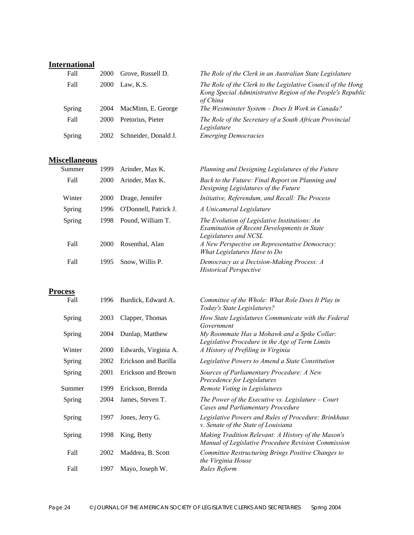# **International**

| Fall   | 2000 | Grove, Russell D.    | The Role of the Clerk in an Australian State Legislature                                                                                |
|--------|------|----------------------|-----------------------------------------------------------------------------------------------------------------------------------------|
| Fall   | 2000 | Law, K.S.            | The Role of the Clerk to the Legislative Council of the Hong<br>Kong Special Administrative Region of the People's Republic<br>of China |
| Spring | 2004 | MacMinn, E. George   | The Westminster System - Does It Work in Canada?                                                                                        |
| Fall   | 2000 | Pretorius, Pieter    | The Role of the Secretary of a South African Provincial<br>Legislature                                                                  |
| Spring | 2002 | Schneider, Donald J. | <b>Emerging Democracies</b>                                                                                                             |

# **Miscellaneous**

| Summer | 1999        | Arinder, Max K.       | Planning and Designing Legislatures of the Future                                                                            |
|--------|-------------|-----------------------|------------------------------------------------------------------------------------------------------------------------------|
| Fall   | <b>2000</b> | Arinder, Max K.       | Back to the Future: Final Report on Planning and<br>Designing Legislatures of the Future                                     |
| Winter | 2000        | Drage, Jennifer       | Initiative, Referendum, and Recall: The Process                                                                              |
| Spring | 1996        | O'Donnell, Patrick J. | A Unicameral Legislature                                                                                                     |
| Spring | 1998        | Pound, William T.     | The Evolution of Legislative Institutions: An<br><b>Examination of Recent Developments in State</b><br>Legislatures and NCSL |
| Fall   | 2000        | Rosenthal, Alan       | A New Perspective on Representative Democracy:<br>What Legislatures Have to Do                                               |
| Fall   | 1995        | Snow, Willis P.       | Democracy as a Decision-Making Process: A<br><b>Historical Perspective</b>                                                   |

# **Process**

| Fall   | 1996 | Burdick, Edward A.   | Committee of the Whole: What Role Does It Play in<br>Today's State Legislatures?                           |
|--------|------|----------------------|------------------------------------------------------------------------------------------------------------|
| Spring | 2003 | Clapper, Thomas      | How State Legislatures Communicate with the Federal<br>Government                                          |
| Spring | 2004 | Dunlap, Matthew      | My Roommate Has a Mohawk and a Spike Collar:<br>Legislative Procedure in the Age of Term Limits            |
| Winter | 2000 | Edwards, Virginia A. | A History of Prefiling in Virginia                                                                         |
| Spring | 2002 | Erickson and Barilla | Legislative Powers to Amend a State Constitution                                                           |
| Spring | 2001 | Erickson and Brown   | Sources of Parliamentary Procedure: A New<br>Precedence for Legislatures                                   |
| Summer | 1999 | Erickson, Brenda     | Remote Voting in Legislatures                                                                              |
| Spring | 2004 | James, Steven T.     | The Power of the Executive vs. Legislature $-$ Court<br>Cases and Parliamentary Procedure                  |
| Spring | 1997 | Jones, Jerry G.      | Legislative Powers and Rules of Procedure: Brinkhaus<br>v. Senate of the State of Louisiana                |
| Spring | 1998 | King, Betty          | Making Tradition Relevant: A History of the Mason's<br>Manual of Legislative Procedure Revision Commission |
| Fall   | 2002 | Maddrea, B. Scott    | Committee Restructuring Brings Positive Changes to<br>the Virginia House                                   |
| Fall   | 1997 | Mayo, Joseph W.      | Rules Reform                                                                                               |